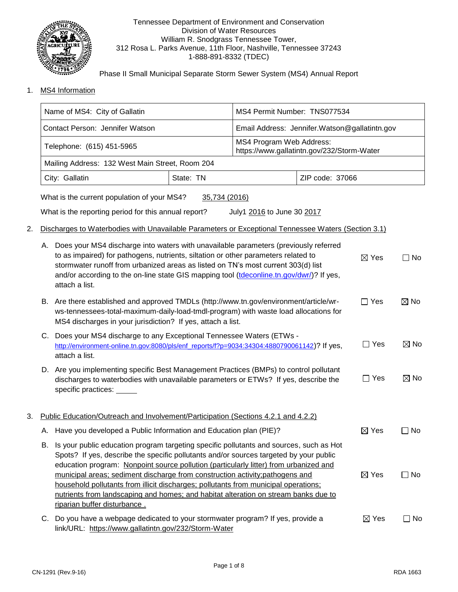

## Tennessee Department of Environment and Conservation Division of Water Resources William R. Snodgrass Tennessee Tower, 312 Rosa L. Parks Avenue, 11th Floor, Nashville, Tennessee 37243 1-888-891-8332 (TDEC)

Phase II Small Municipal Separate Storm Sewer System (MS4) Annual Report

1. MS4 Information

|    | Name of MS4: City of Gallatin                                                                                                                                                                                                                                                                                                                                                                                                                                                                                                                                                |                                                                        | MS4 Permit Number: TNS077534                   |                 |                 |                |
|----|------------------------------------------------------------------------------------------------------------------------------------------------------------------------------------------------------------------------------------------------------------------------------------------------------------------------------------------------------------------------------------------------------------------------------------------------------------------------------------------------------------------------------------------------------------------------------|------------------------------------------------------------------------|------------------------------------------------|-----------------|-----------------|----------------|
|    | Contact Person: Jennifer Watson                                                                                                                                                                                                                                                                                                                                                                                                                                                                                                                                              |                                                                        | Email Address: Jennifer. Watson@gallatintn.gov |                 |                 |                |
|    | Telephone: (615) 451-5965                                                                                                                                                                                                                                                                                                                                                                                                                                                                                                                                                    | MS4 Program Web Address:<br>https://www.gallatintn.gov/232/Storm-Water |                                                |                 |                 |                |
|    | Mailing Address: 132 West Main Street, Room 204                                                                                                                                                                                                                                                                                                                                                                                                                                                                                                                              |                                                                        |                                                |                 |                 |                |
|    | City: Gallatin<br>State: TN                                                                                                                                                                                                                                                                                                                                                                                                                                                                                                                                                  |                                                                        |                                                | ZIP code: 37066 |                 |                |
|    | What is the current population of your MS4?                                                                                                                                                                                                                                                                                                                                                                                                                                                                                                                                  | 35,734 (2016)                                                          |                                                |                 |                 |                |
|    | What is the reporting period for this annual report?                                                                                                                                                                                                                                                                                                                                                                                                                                                                                                                         |                                                                        | July1 2016 to June 30 2017                     |                 |                 |                |
| 2. | Discharges to Waterbodies with Unavailable Parameters or Exceptional Tennessee Waters (Section 3.1)                                                                                                                                                                                                                                                                                                                                                                                                                                                                          |                                                                        |                                                |                 |                 |                |
|    | A. Does your MS4 discharge into waters with unavailable parameters (previously referred<br>to as impaired) for pathogens, nutrients, siltation or other parameters related to<br>stormwater runoff from urbanized areas as listed on TN's most current 303(d) list<br>and/or according to the on-line state GIS mapping tool (tdeconline.tn.gov/dwr/)? If yes,<br>attach a list.                                                                                                                                                                                             |                                                                        |                                                |                 | $\boxtimes$ Yes | $\Box$ No      |
|    | B. Are there established and approved TMDLs (http://www.tn.gov/environment/article/wr-<br>ws-tennessees-total-maximum-daily-load-tmdl-program) with waste load allocations for<br>MS4 discharges in your jurisdiction? If yes, attach a list.                                                                                                                                                                                                                                                                                                                                |                                                                        |                                                |                 | $\Box$ Yes      | $\boxtimes$ No |
|    | C. Does your MS4 discharge to any Exceptional Tennessee Waters (ETWs -<br>http://environment-online.tn.gov:8080/pls/enf_reports/f?p=9034:34304:4880790061142)? If yes,<br>attach a list.                                                                                                                                                                                                                                                                                                                                                                                     |                                                                        |                                                |                 | $\Box$ Yes      | $\boxtimes$ No |
|    | D. Are you implementing specific Best Management Practices (BMPs) to control pollutant<br>discharges to waterbodies with unavailable parameters or ETWs? If yes, describe the<br>specific practices: ______                                                                                                                                                                                                                                                                                                                                                                  |                                                                        |                                                |                 | $\Box$ Yes      | $\boxtimes$ No |
| 3. | Public Education/Outreach and Involvement/Participation (Sections 4.2.1 and 4.2.2)                                                                                                                                                                                                                                                                                                                                                                                                                                                                                           |                                                                        |                                                |                 |                 |                |
|    | A. Have you developed a Public Information and Education plan (PIE)?                                                                                                                                                                                                                                                                                                                                                                                                                                                                                                         |                                                                        |                                                |                 | $\boxtimes$ Yes | $\Box$ No      |
|    | B. Is your public education program targeting specific pollutants and sources, such as Hot<br>Spots? If yes, describe the specific pollutants and/or sources targeted by your public<br>education program: Nonpoint source pollution (particularly litter) from urbanized and<br>municipal areas; sediment discharge from construction activity; pathogens and<br>household pollutants from illicit discharges; pollutants from municipal operations;<br>nutrients from landscaping and homes; and habitat alteration on stream banks due to<br>riparian buffer disturbance. |                                                                        |                                                |                 | $\boxtimes$ Yes | $\Box$ No      |
|    | C. Do you have a webpage dedicated to your stormwater program? If yes, provide a<br>link/URL: https://www.gallatintn.gov/232/Storm-Water                                                                                                                                                                                                                                                                                                                                                                                                                                     |                                                                        |                                                |                 | $\boxtimes$ Yes | $\Box$ No      |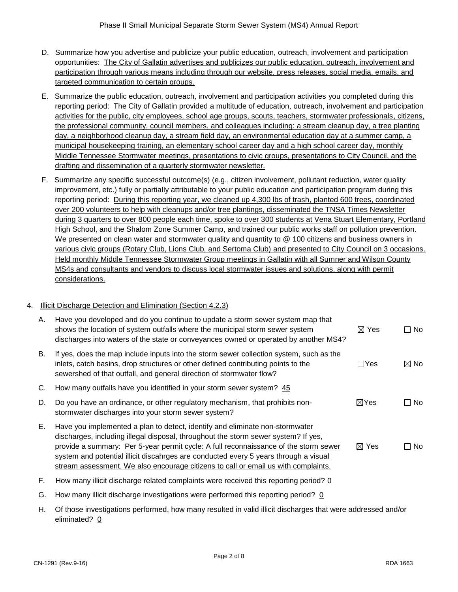- D. Summarize how you advertise and publicize your public education, outreach, involvement and participation opportunities: The City of Gallatin advertises and publicizes our public education, outreach, involvement and participation through various means including through our website, press releases, social media, emails, and targeted communication to certain groups.
- E. Summarize the public education, outreach, involvement and participation activities you completed during this reporting period: The City of Gallatin provided a multitude of education, outreach, involvement and participation activities for the public, city employees, school age groups, scouts, teachers, stormwater professionals, citizens, the professional community, council members, and colleagues including: a stream cleanup day, a tree planting day, a neighborhood cleanup day, a stream field day, an environmental education day at a summer camp, a municipal housekeeping training, an elementary school career day and a high school career day, monthly Middle Tennessee Stormwater meetings, presentations to civic groups, presentations to City Council, and the drafting and dissemination of a quarterly stormwater newsletter.
- F. Summarize any specific successful outcome(s) (e.g., citizen involvement, pollutant reduction, water quality improvement, etc.) fully or partially attributable to your public education and participation program during this reporting period: During this reporting year, we cleaned up 4,300 lbs of trash, planted 600 trees, coordinated over 200 volunteers to help with cleanups and/or tree plantings, disseminated the TNSA Times Newsletter during 3 quarters to over 800 people each time, spoke to over 300 students at Vena Stuart Elementary, Portland High School, and the Shalom Zone Summer Camp, and trained our public works staff on pollution prevention. We presented on clean water and stormwater quality and quantity to @ 100 citizens and business owners in various civic groups (Rotary Club, Lions Club, and Sertoma Club) and presented to City Council on 3 occasions. Held monthly Middle Tennessee Stormwater Group meetings in Gallatin with all Sumner and Wilson County MS4s and consultants and vendors to discuss local stormwater issues and solutions, along with permit considerations.

## 4. Illicit Discharge Detection and Elimination (Section 4.2.3)

| Α. | Have you developed and do you continue to update a storm sewer system map that<br>shows the location of system outfalls where the municipal storm sewer system<br>discharges into waters of the state or conveyances owned or operated by another MS4?                                                                                                                                                                                   | $\boxtimes$ Yes | $\Box$ No      |
|----|------------------------------------------------------------------------------------------------------------------------------------------------------------------------------------------------------------------------------------------------------------------------------------------------------------------------------------------------------------------------------------------------------------------------------------------|-----------------|----------------|
| В. | If yes, does the map include inputs into the storm sewer collection system, such as the<br>inlets, catch basins, drop structures or other defined contributing points to the<br>sewershed of that outfall, and general direction of stormwater flow?                                                                                                                                                                                     | $\sqcap$ Yes    | $\boxtimes$ No |
| C. | How many outfalls have you identified in your storm sewer system? 45                                                                                                                                                                                                                                                                                                                                                                     |                 |                |
| D. | Do you have an ordinance, or other regulatory mechanism, that prohibits non-<br>stormwater discharges into your storm sewer system?                                                                                                                                                                                                                                                                                                      | $\boxtimes$ Yes | $\Box$ No      |
| Е. | Have you implemented a plan to detect, identify and eliminate non-stormwater<br>discharges, including illegal disposal, throughout the storm sewer system? If yes,<br>provide a summary: Per 5-year permit cycle: A full reconnaissance of the storm sewer<br>system and potential illicit discahrges are conducted every 5 years through a visual<br>stream assessment. We also encourage citizens to call or email us with complaints. | $\boxtimes$ Yes | ∏ No           |
| F. | How many illicit discharge related complaints were received this reporting period? 0                                                                                                                                                                                                                                                                                                                                                     |                 |                |
| G. | How many illicit discharge investigations were performed this reporting period? 0                                                                                                                                                                                                                                                                                                                                                        |                 |                |

 H. Of those investigations performed, how many resulted in valid illicit discharges that were addressed and/or eliminated? 0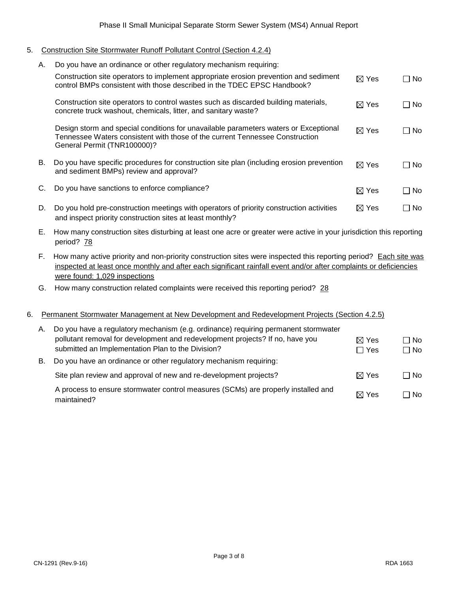#### 5. Construction Site Stormwater Runoff Pollutant Control (Section 4.2.4)

A. Do you have an ordinance or other regulatory mechanism requiring:

|    | Construction site operators to implement appropriate erosion prevention and sediment<br>control BMPs consistent with those described in the TDEC EPSC Handbook?                                     | $\boxtimes$ Yes | ∩ No      |
|----|-----------------------------------------------------------------------------------------------------------------------------------------------------------------------------------------------------|-----------------|-----------|
|    | Construction site operators to control wastes such as discarded building materials,<br>concrete truck washout, chemicals, litter, and sanitary waste?                                               | $\boxtimes$ Yes | ∏ No      |
|    | Design storm and special conditions for unavailable parameters waters or Exceptional<br>Tennessee Waters consistent with those of the current Tennessee Construction<br>General Permit (TNR100000)? | $\boxtimes$ Yes | $\Box$ No |
| В. | Do you have specific procedures for construction site plan (including erosion prevention<br>and sediment BMPs) review and approval?                                                                 | $\boxtimes$ Yes | ∩ No      |
| C. | Do you have sanctions to enforce compliance?                                                                                                                                                        | $\boxtimes$ Yes | ∏ No      |
| D. | Do you hold pre-construction meetings with operators of priority construction activities<br>and inspect priority construction sites at least monthly?                                               | $\boxtimes$ Yes | $\Box$ No |

- E. How many construction sites disturbing at least one acre or greater were active in your jurisdiction this reporting period? 78
- F. How many active priority and non-priority construction sites were inspected this reporting period? Each site was inspected at least once monthly and after each significant rainfall event and/or after complaints or deficiencies were found: 1,029 inspections
- G. How many construction related complaints were received this reporting period? 28

#### 6. Permanent Stormwater Management at New Development and Redevelopment Projects (Section 4.2.5)

| Do you have a regulatory mechanism (e.g. ordinance) requiring permanent stormwater               |                 |           |
|--------------------------------------------------------------------------------------------------|-----------------|-----------|
| pollutant removal for development and redevelopment projects? If no, have you                    | $\boxtimes$ Yes | ∏ No      |
| submitted an Implementation Plan to the Division?                                                | $\Box$ Yes      | $\Box$ No |
| Do you have an ordinance or other regulatory mechanism requiring:                                |                 |           |
| Site plan review and approval of new and re-development projects?                                | $\boxtimes$ Yes | $\Box$ No |
| A process to ensure stormwater control measures (SCMs) are properly installed and<br>maintained? | $\boxtimes$ Yes | ∩ No      |
|                                                                                                  |                 |           |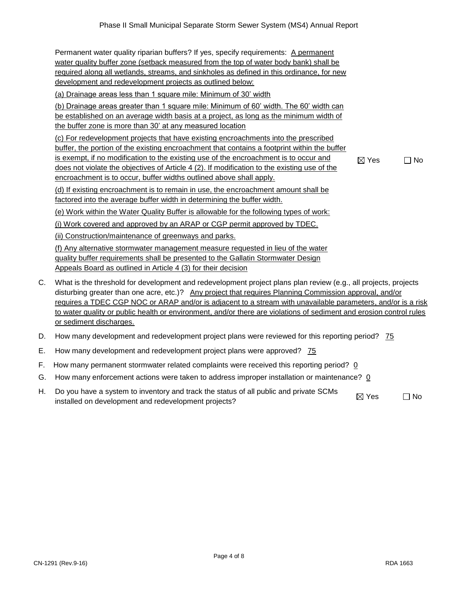Permanent water quality riparian buffers? If yes, specify requirements: A permanent water quality buffer zone (setback measured from the top of water body bank) shall be required along all wetlands, streams, and sinkholes as defined in this ordinance, for new development and redevelopment projects as outlined below:

(a) Drainage areas less than 1 square mile: Minimum of 30' width

(b) Drainage areas greater than 1 square mile: Minimum of 60' width. The 60' width can be established on an average width basis at a project, as long as the minimum width of the buffer zone is more than 30' at any measured location

(c) For redevelopment projects that have existing encroachments into the prescribed buffer, the portion of the existing encroachment that contains a footprint within the buffer is exempt, if no modification to the existing use of the encroachment is to occur and does not violate the objectives of Article 4 (2). If modification to the existing use of the encroachment is to occur, buffer widths outlined above shall apply.

 $\boxtimes$  Yes  $\Box$  No

(d) If existing encroachment is to remain in use, the encroachment amount shall be factored into the average buffer width in determining the buffer width.

(e) Work within the Water Quality Buffer is allowable for the following types of work:

(i) Work covered and approved by an ARAP or CGP permit approved by TDEC.

(ii) Construction/maintenance of greenways and parks.

(f) Any alternative stormwater management measure requested in lieu of the water quality buffer requirements shall be presented to the Gallatin Stormwater Design Appeals Board as outlined in Article 4 (3) for their decision

- C. What is the threshold for development and redevelopment project plans plan review (e.g., all projects, projects disturbing greater than one acre, etc.)? Any project that requires Planning Commission approval, and/or requires a TDEC CGP NOC or ARAP and/or is adjacent to a stream with unavailable parameters, and/or is a risk to water quality or public health or environment, and/or there are violations of sediment and erosion control rules or sediment discharges.
- D. How many development and redevelopment project plans were reviewed for this reporting period? 75
- E. How many development and redevelopment project plans were approved? 75
- F. How many permanent stormwater related complaints were received this reporting period?  $Q$
- G. How many enforcement actions were taken to address improper installation or maintenance? 0
- H. Do you have a system to inventory and track the status of all public and private SCMs  $\Box$  be yet have a eyelem to inventery and tident the etates of an passic and private SSMs  $\Box$  Yes  $\Box$  No installed on development and redevelopment projects?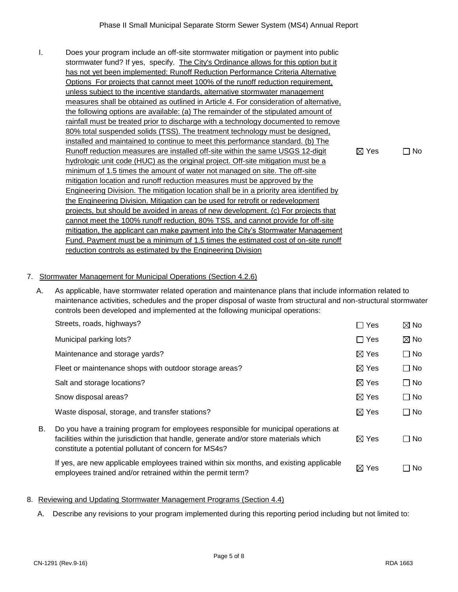I. Does your program include an off-site stormwater mitigation or payment into public stormwater fund? If yes, specify. The City's Ordinance allows for this option but it has not yet been implemented: Runoff Reduction Performance Criteria Alternative Options For projects that cannot meet 100% of the runoff reduction requirement, unless subject to the incentive standards, alternative stormwater management measures shall be obtained as outlined in Article 4. For consideration of alternative, the following options are available: (a) The remainder of the stipulated amount of rainfall must be treated prior to discharge with a technology documented to remove 80% total suspended solids (TSS). The treatment technology must be designed, installed and maintained to continue to meet this performance standard. (b) The Runoff reduction measures are installed off-site within the same USGS 12-digit hydrologic unit code (HUC) as the original project. Off-site mitigation must be a minimum of 1.5 times the amount of water not managed on site. The off-site mitigation location and runoff reduction measures must be approved by the Engineering Division. The mitigation location shall be in a priority area identified by the Engineering Division. Mitigation can be used for retrofit or redevelopment projects, but should be avoided in areas of new development. (c) For projects that cannot meet the 100% runoff reduction, 80% TSS, and cannot provide for off-site mitigation, the applicant can make payment into the City's Stormwater Management Fund. Payment must be a minimum of 1.5 times the estimated cost of on-site runoff reduction controls as estimated by the Engineering Division

 $\boxtimes$  Yes  $\Box$  No

## 7. Stormwater Management for Municipal Operations (Section 4.2.6)

 A. As applicable, have stormwater related operation and maintenance plans that include information related to maintenance activities, schedules and the proper disposal of waste from structural and non-structural stormwater controls been developed and implemented at the following municipal operations:

|    | Streets, roads, highways?                                                                                                                                                                                                              | $\Box$ Yes      | $\boxtimes$ No |
|----|----------------------------------------------------------------------------------------------------------------------------------------------------------------------------------------------------------------------------------------|-----------------|----------------|
|    | Municipal parking lots?                                                                                                                                                                                                                | $\Box$ Yes      | $\boxtimes$ No |
|    | Maintenance and storage yards?                                                                                                                                                                                                         | $\boxtimes$ Yes | $\square$ No   |
|    | Fleet or maintenance shops with outdoor storage areas?                                                                                                                                                                                 | $\boxtimes$ Yes | $\Box$ No      |
|    | Salt and storage locations?                                                                                                                                                                                                            | $\boxtimes$ Yes | $\Box$ No      |
|    | Snow disposal areas?                                                                                                                                                                                                                   | $\boxtimes$ Yes | $\Box$ No      |
|    | Waste disposal, storage, and transfer stations?                                                                                                                                                                                        | $\boxtimes$ Yes | $\Box$ No      |
| В. | Do you have a training program for employees responsible for municipal operations at<br>facilities within the jurisdiction that handle, generate and/or store materials which<br>constitute a potential pollutant of concern for MS4s? | $\boxtimes$ Yes | $\Box$ No      |
|    | If yes, are new applicable employees trained within six months, and existing applicable<br>employees trained and/or retrained within the permit term?                                                                                  | $\boxtimes$ Yes | ∩ No           |

- 8. Reviewing and Updating Stormwater Management Programs (Section 4.4)
	- A. Describe any revisions to your program implemented during this reporting period including but not limited to: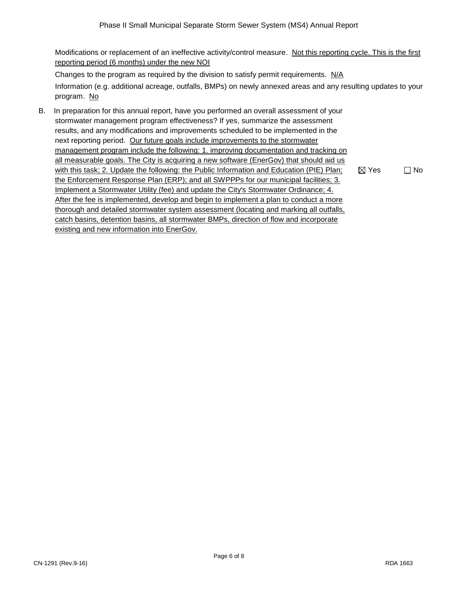Modifications or replacement of an ineffective activity/control measure. Not this reporting cycle. This is the first reporting period (6 months) under the new NOI

Changes to the program as required by the division to satisfy permit requirements.  $N/A$ Information (e.g. additional acreage, outfalls, BMPs) on newly annexed areas and any resulting updates to your program. No

 B. In preparation for this annual report, have you performed an overall assessment of your stormwater management program effectiveness? If yes, summarize the assessment results, and any modifications and improvements scheduled to be implemented in the next reporting period. Our future goals include improvements to the stormwater management program include the following: 1. improving documentation and tracking on all measurable goals. The City is acquiring a new software (EnerGov) that should aid us with this task; 2. Update the following: the Public Information and Education (PIE) Plan; the Enforcement Response Plan (ERP); and all SWPPPs for our municipal facilities; 3. Implement a Stormwater Utility (fee) and update the City's Stormwater Ordinance; 4. After the fee is implemented, develop and begin to implement a plan to conduct a more thorough and detailed stormwater system assessment (locating and marking all outfalls, catch basins, detention basins, all stormwater BMPs, direction of flow and incorporate existing and new information into EnerGov.

 $\boxtimes$  Yes  $\Box$  No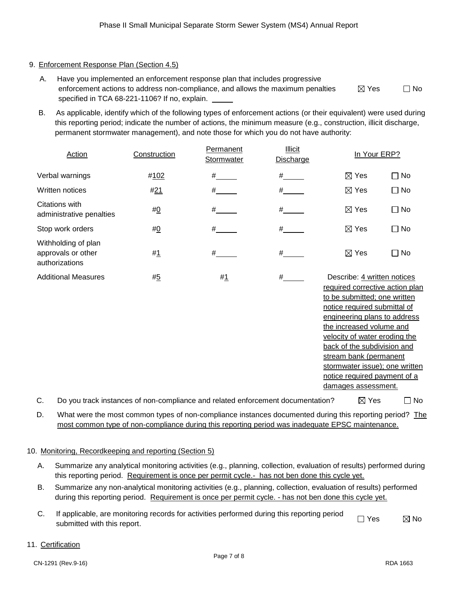# 9. Enforcement Response Plan (Section 4.5)

 A. Have you implemented an enforcement response plan that includes progressive enforcement actions to address non-compliance, and allows the maximum penalties specified in TCA 68-221-1106? If no, explain.

 $\boxtimes$  Yes  $\Box$  No

 B. As applicable, identify which of the following types of enforcement actions (or their equivalent) were used during this reporting period; indicate the number of actions, the minimum measure (e.g., construction, illicit discharge, permanent stormwater management), and note those for which you do not have authority:

| <b>Action</b>                                               | Construction | Permanent<br>Stormwater                                                         | <b>Illicit</b><br><b>Discharge</b> | In Your ERP?                                                                                                                                                                                                                                                                                                                                                                  |           |
|-------------------------------------------------------------|--------------|---------------------------------------------------------------------------------|------------------------------------|-------------------------------------------------------------------------------------------------------------------------------------------------------------------------------------------------------------------------------------------------------------------------------------------------------------------------------------------------------------------------------|-----------|
| Verbal warnings                                             | #102         | #                                                                               | #                                  | $\boxtimes$ Yes<br>$\Box$ No                                                                                                                                                                                                                                                                                                                                                  |           |
| Written notices                                             | #21          | #                                                                               | $\#$                               | $\boxtimes$ Yes<br>$\square$ No                                                                                                                                                                                                                                                                                                                                               |           |
| Citations with<br>administrative penalties                  | #0           | #                                                                               | #                                  | $\square$ No<br>$\boxtimes$ Yes                                                                                                                                                                                                                                                                                                                                               |           |
| Stop work orders                                            | #0           | #                                                                               | #                                  | $\boxtimes$ Yes<br>$\Box$ No                                                                                                                                                                                                                                                                                                                                                  |           |
| Withholding of plan<br>approvals or other<br>authorizations | #1           | #                                                                               | #                                  | $\boxtimes$ Yes<br>$\Box$ No                                                                                                                                                                                                                                                                                                                                                  |           |
| <b>Additional Measures</b>                                  | #5           | #1                                                                              | #                                  | Describe: 4 written notices<br>required corrective action plan<br>to be submitted; one written<br>notice required submittal of<br>engineering plans to address<br>the increased volume and<br>velocity of water eroding the<br>back of the subdivision and<br>stream bank (permanent<br>stormwater issue); one written<br>notice required payment of a<br>damages assessment. |           |
| C.                                                          |              | Do you track instances of non-compliance and related enforcement documentation? |                                    | $\boxtimes$ Yes                                                                                                                                                                                                                                                                                                                                                               | $\Box$ No |

- D. What were the most common types of non-compliance instances documented during this reporting period? The
- most common type of non-compliance during this reporting period was inadequate EPSC maintenance.

# 10. Monitoring, Recordkeeping and reporting (Section 5)

- A. Summarize any analytical monitoring activities (e.g., planning, collection, evaluation of results) performed during this reporting period. Requirement is once per permit cycle.- has not ben done this cycle yet.
- B. Summarize any non-analytical monitoring activities (e.g., planning, collection, evaluation of results) performed during this reporting period. Requirement is once per permit cycle. - has not ben done this cycle yet.
- C. If applicable, are monitoring records for activities performed during this reporting period submitted with this report.  $\Box$  Yes  $\boxtimes$  No

## 11. Certification